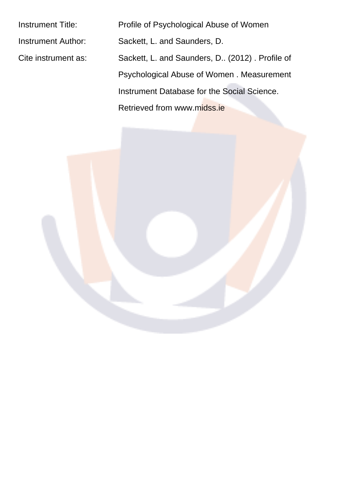Instrument Title: Profile of Psychological Abuse of Women Instrument Author: Sackett, L. and Saunders, D. Cite instrument as: Sackett, L. and Saunders, D.. (2012) . Profile of Psychological Abuse of Women . Measurement Instrument Database for the Social Science. Retrieved from www.midss.ie

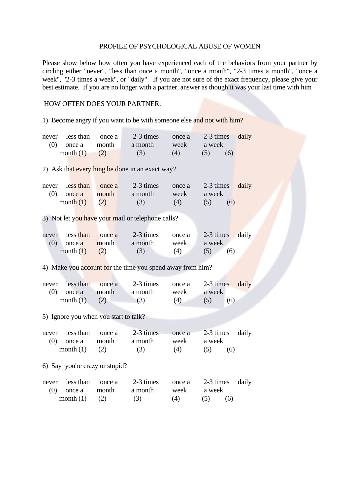## PROFILE OF PSYCHOLOGICAL ABUSE OF WOMEN

Please show below how often you have experienced each of the behaviors from your partner by circling either "never", "less than once a month", "once a month", "2-3 times a month", "once a week", "2-3 times a week", or "daily". If you are not sure of the exact frequency, please give your best estimate. If you are no longer with a partner, answer as though it was your last time with him

## HOW OFTEN DOES YOUR PARTNER:

1) Become angry if you want to be with someone else and not with him?

| never<br>(0) | less than<br>once a<br>month $(1)$ | once a<br>month<br>(2)                | 2-3 times<br>a month<br>(3)                               | once a<br>week<br>(4) | 2-3 times<br>a week<br>(5)<br>(6) | daily |
|--------------|------------------------------------|---------------------------------------|-----------------------------------------------------------|-----------------------|-----------------------------------|-------|
|              |                                    |                                       | 2) Ask that everything be done in an exact way?           |                       |                                   |       |
| never<br>(0) | less than<br>once a<br>month $(1)$ | once a<br>month<br>(2)                | 2-3 times<br>a month<br>(3)                               | once a<br>week<br>(4) | 2-3 times<br>a week<br>(5)<br>(6) | daily |
|              |                                    |                                       | 3) Not let you have your mail or telephone calls?         |                       |                                   |       |
| never<br>(0) | less than<br>once a<br>month $(1)$ | once a<br>month<br>(2)                | 2-3 times<br>a month<br>(3)                               | once a<br>week<br>(4) | 2-3 times<br>a week<br>(5)<br>(6) | daily |
|              |                                    |                                       | 4) Make you account for the time you spend away from him? |                       |                                   |       |
| never<br>(0) | less than<br>once a<br>month $(1)$ | once a<br>month<br>(2)                | 2-3 times<br>a month<br>(3)                               | once a<br>week<br>(4) | 2-3 times<br>a week<br>(5)<br>(6) | daily |
|              |                                    | 5) Ignore you when you start to talk? |                                                           |                       |                                   |       |
| never<br>(0) | less than<br>once a<br>month $(1)$ | once a<br>month<br>(2)                | 2-3 times<br>a month<br>(3)                               | once a<br>week<br>(4) | 2-3 times<br>a week<br>(6)<br>(5) | daily |
|              |                                    | 6) Say you're crazy or stupid?        |                                                           |                       |                                   |       |
| never<br>(0) | less than<br>once a<br>month $(1)$ | once a<br>month<br>(2)                | 2-3 times<br>a month<br>(3)                               | once a<br>week<br>(4) | 2-3 times<br>a week<br>(5)<br>(6) | daily |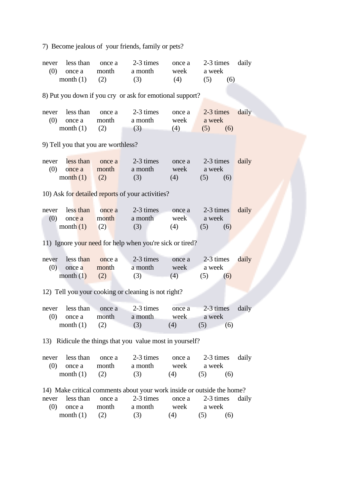7) Become jealous of your friends, family or pets?

| never<br>(0)                                             | less than<br>once a<br>month $(1)$       | once a<br>month<br>(2)              | 2-3 times<br>a month<br>(3)                                                                    | once a<br>week<br>(4) | 2-3 times<br>a week<br>(5)<br>(6) | daily |  |
|----------------------------------------------------------|------------------------------------------|-------------------------------------|------------------------------------------------------------------------------------------------|-----------------------|-----------------------------------|-------|--|
|                                                          |                                          |                                     | 8) Put you down if you cry or ask for emotional support?                                       |                       |                                   |       |  |
| never<br>(0)                                             | less than<br>once a<br>month $(1)$       | once a<br>month<br>(2)              | 2-3 times<br>a month<br>(3)                                                                    | once a<br>week<br>(4) | 2-3 times<br>a week<br>(5)<br>(6) | daily |  |
|                                                          |                                          | 9) Tell you that you are worthless? |                                                                                                |                       |                                   |       |  |
| never<br>(0)                                             | less than<br>once a<br>month $(1)$       | once a<br>month<br>(2)              | 2-3 times<br>a month<br>(3)                                                                    | once a<br>week<br>(4) | 2-3 times<br>a week<br>(6)<br>(5) | daily |  |
|                                                          |                                          |                                     | 10) Ask for detailed reports of your activities?                                               |                       |                                   |       |  |
| never<br>(0)                                             | less than<br>once a<br>month $(1)$       | once a<br>month<br>(2)              | 2-3 times<br>a month<br>(3)                                                                    | once a<br>week<br>(4) | 2-3 times<br>a week<br>(5)<br>(6) | daily |  |
|                                                          |                                          |                                     | 11) Ignore your need for help when you're sick or tired?                                       |                       |                                   |       |  |
| never<br>(0)                                             | less than<br>once a<br>month $(1)$       | once a<br>month<br>(2)              | 2-3 times<br>a month<br>(3)                                                                    | once a<br>week<br>(4) | 2-3 times<br>a week<br>(5)<br>(6) | daily |  |
|                                                          |                                          |                                     | 12) Tell you your cooking or cleaning is not right?                                            |                       |                                   |       |  |
| never<br>(0)                                             | less than<br>once a month<br>month $(1)$ | once a<br>(2)                       | 2-3 times<br>a month<br>(3)                                                                    | once a<br>week<br>(4) | 2-3 times<br>a week<br>(5)<br>(6) | daily |  |
| 13) Ridicule the things that you value most in yourself? |                                          |                                     |                                                                                                |                       |                                   |       |  |
| never<br>(0)                                             | less than<br>once a<br>month $(1)$       | once a<br>month<br>(2)              | 2-3 times<br>a month<br>(3)                                                                    | once a<br>week<br>(4) | 2-3 times<br>a week<br>(5)<br>(6) | daily |  |
| never<br>(0)                                             | less than<br>once a                      | once a<br>month                     | 14) Make critical comments about your work inside or outside the home?<br>2-3 times<br>a month | once a<br>week        | 2-3 times<br>a week               | daily |  |

month (1) (2) (3) (4) (5) (6)